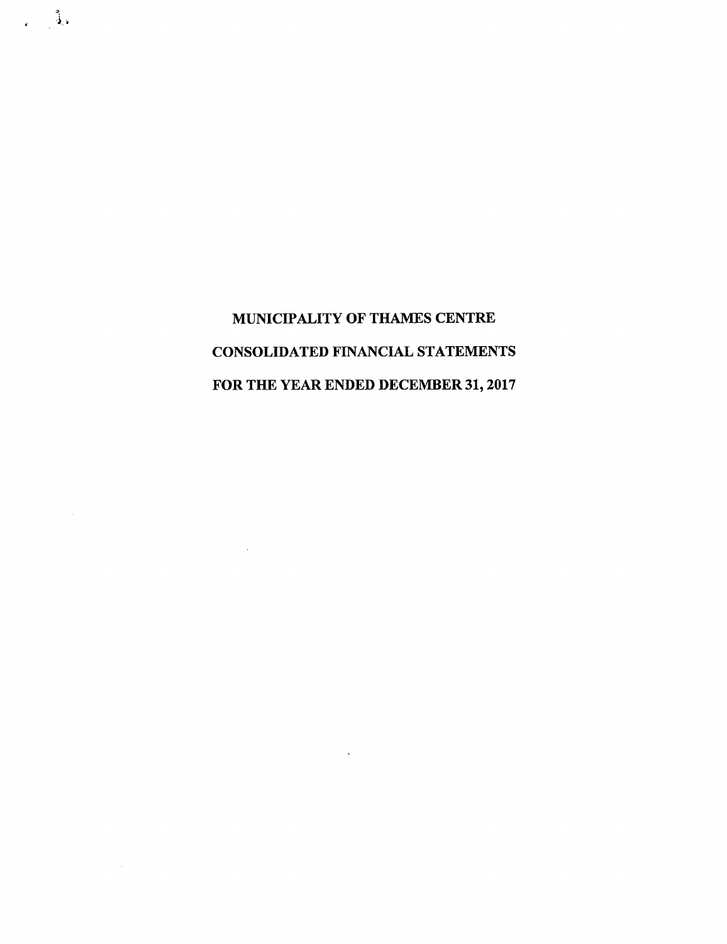$\sim$ 

 $\sim 10^{-11}$ 

 $\sim$ 

 $\epsilon = \frac{3}{4}$ 

 $\sim$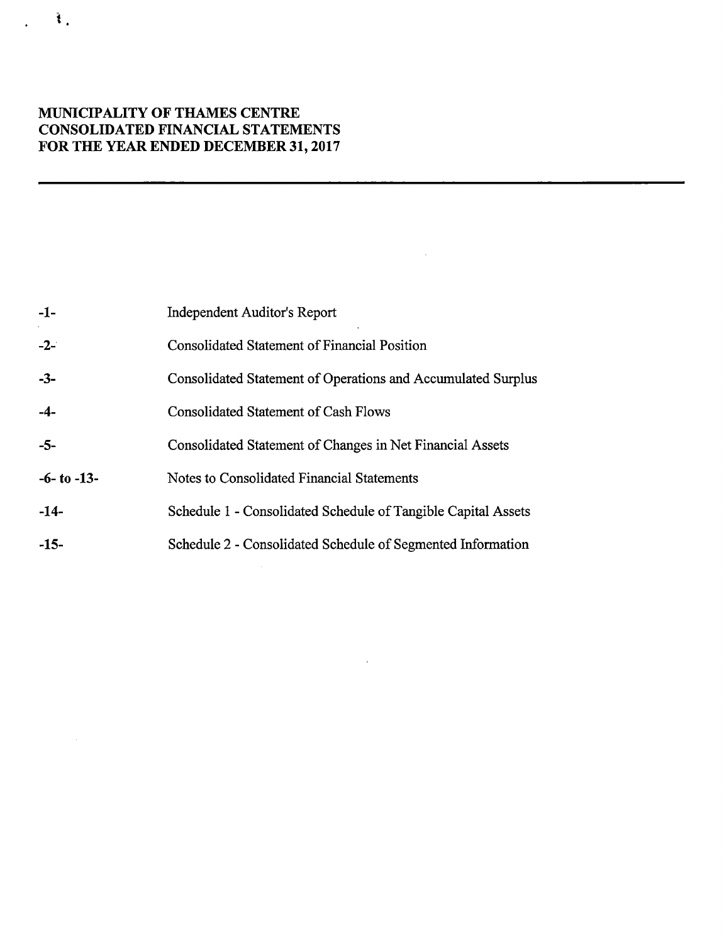| $-1-$           | <b>Independent Auditor's Report</b>                           |
|-----------------|---------------------------------------------------------------|
| $-2-$           | Consolidated Statement of Financial Position                  |
| $-3-$           | Consolidated Statement of Operations and Accumulated Surplus  |
| $-4-$           | <b>Consolidated Statement of Cash Flows</b>                   |
| -5-             | Consolidated Statement of Changes in Net Financial Assets     |
| $-6-$ to $-13-$ | Notes to Consolidated Financial Statements                    |
| $-14-$          | Schedule 1 - Consolidated Schedule of Tangible Capital Assets |
| $-15-$          | Schedule 2 - Consolidated Schedule of Segmented Information   |
|                 |                                                               |

 $\mathbf{r}^{\left(1\right)}$  ,  $\mathbf{r}^{\left(2\right)}$ 

 $\mathcal{L}^{\text{max}}_{\text{max}}$  and  $\mathcal{L}^{\text{max}}_{\text{max}}$ 

 $\hat{u}$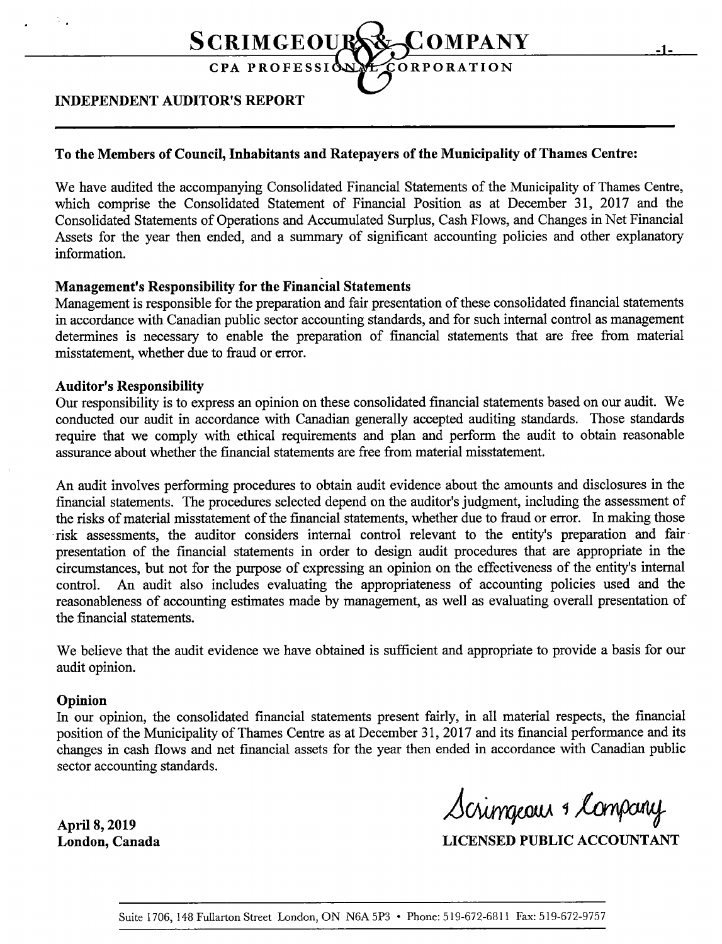

## INDEPENDENT AUDITOR'S REPORT

### To the Members of Council, Inhabitants and Ratepayers of the Municipality of Thames Centre:

We have audited the accompanying Consolidated Financial Statements of the Municipality of Thames Centre, which comprise the Consolidated Statement of Financial Position as at December 31, 2017 and the Consolidated Statements of Operations and Accumulated Surplus, Cash Flows, and Changes in Net Financial Assets for the year then ended, and <sup>a</sup> summary of significant accounting policies and other explanatory information.

### Management's Responsibility for the Financial Statements

Management is responsible for the preparation and fair presentation of these consolidated financial statements in accordance with Canadian public sector accounting standards, and for such internal control as management determines is necessary to enable the preparation of financial statements that are free from material misstatement, whether due to fraud or error.

### **Auditor's Responsibility**

Our responsibility is to express an opinion on these consolidated financial statements based on our audit. We conducted our audit in accordance with Canadian generally accepted auditing standards. Those standards require that we comply with ethical requirements and plan and perform the audit to obtain reasonable assurance about whether the financial statements are free from material misstatement.

An audit involves performing procedures to obtain audit evidence about the amounts and disclosures in the financial statements. The procedures selected depend on the auditor's judgment, including the assessment of the risks of material misstatement of the financial statements, whether due to fraud or error. In making those risk assessments, the auditor considers internal control relevant to the entity's preparation and fairpresentation of the financial statements in order to design audit procedures that are appropriate in the circumstances, but not for the purpose of expressing an opinion on the effectiveness of the entity's internal control. An audit also includes evaluating the appropriateness of accounting policies used and the reasonableness of accounting estimates made by management, as well as evaluating overall presentation of the financial statements.

We believe that the audit evidence we have obtained is sufficient and appropriate to provide a basis for our audit opinion.

#### Opinion

In our opinion, the consolidated financial statements present fairly, in all material respects, the financial position of the Municipality of Thames Centre as at December 31, 2017 and its financial performance and its changes in cash flows and net financial assets for the year then ended in accordance with Canadian public sector accounting standards.

Scrimgeour & April 8, 2019 hyring and the same of the state of the state of the state of the state of the state of the state of the state of the state of the state of the state of the state of the state of the state of the state of the

London, Canada LICENSED PUBLIC ACCOUNTANT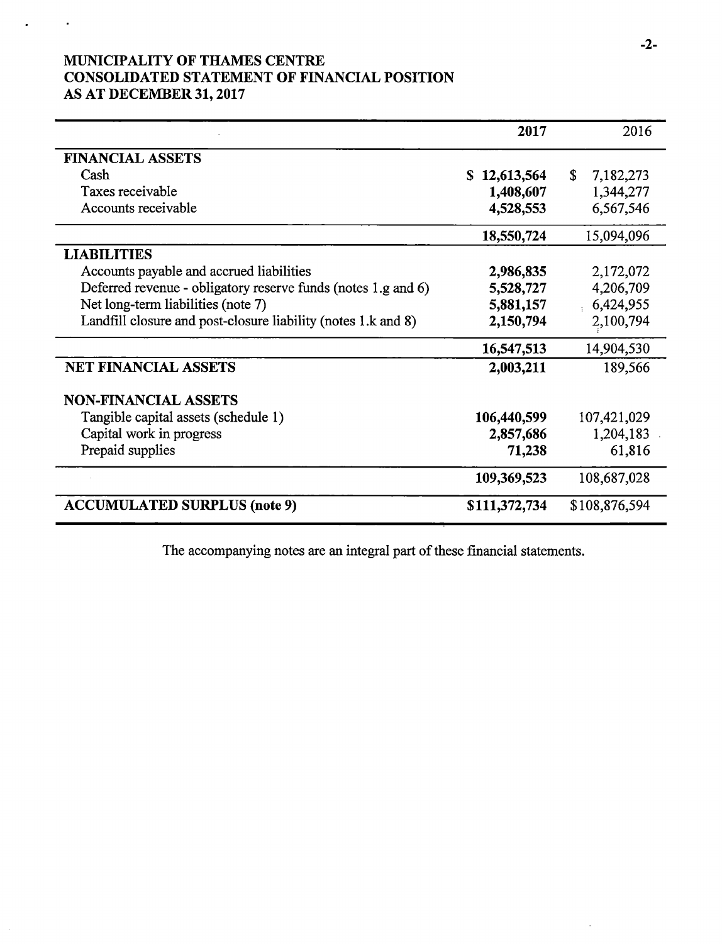# MUNICIPALITY OF THAMES CENTRE CONSOLIDATED STATEMENT OF FINANCIAL POSITION AS AT DECEMBER 31, 2017

 $\bullet$ 

|                                                               | 2017             | 2016            |
|---------------------------------------------------------------|------------------|-----------------|
| <b>FINANCIAL ASSETS</b>                                       |                  |                 |
| Cash                                                          | 12,613,564<br>S. | \$<br>7,182,273 |
| Taxes receivable                                              | 1,408,607        | 1,344,277       |
| Accounts receivable                                           | 4,528,553        | 6,567,546       |
|                                                               | 18,550,724       | 15,094,096      |
| <b>LIABILITIES</b>                                            |                  |                 |
| Accounts payable and accrued liabilities                      | 2,986,835        | 2,172,072       |
| Deferred revenue - obligatory reserve funds (notes 1.g and 6) | 5,528,727        | 4,206,709       |
| Net long-term liabilities (note 7)                            | 5,881,157        | 6,424,955       |
| Landfill closure and post-closure liability (notes 1.k and 8) | 2,150,794        | 2,100,794       |
|                                                               | 16,547,513       | 14,904,530      |
| <b>NET FINANCIAL ASSETS</b>                                   | 2,003,211        | 189,566         |
| <b>NON-FINANCIAL ASSETS</b>                                   |                  |                 |
| Tangible capital assets (schedule 1)                          | 106,440,599      | 107,421,029     |
| Capital work in progress                                      | 2,857,686        | 1,204,183       |
| Prepaid supplies                                              | 71,238           | 61,816          |
|                                                               | 109,369,523      | 108,687,028     |
| <b>ACCUMULATED SURPLUS (note 9)</b>                           | \$111,372,734    | \$108,876,594   |

The accompanying notes are an integral part of these financial statements.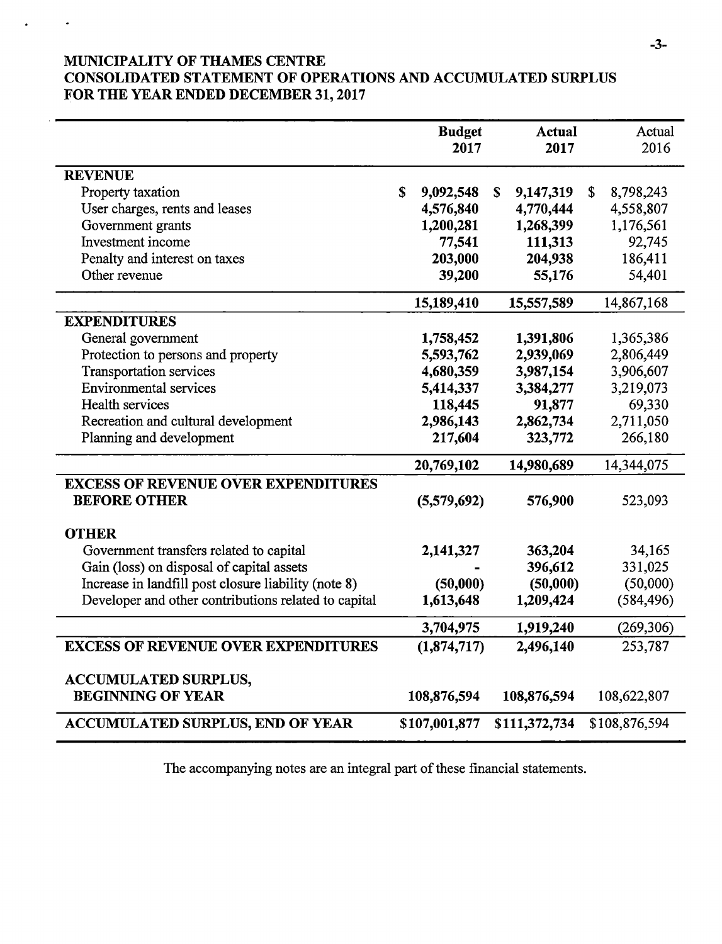# MUNICIPALITY OF THAMES CENTRE CONSOLIDATED STATEMENT OF OPERATIONS AND ACCUMULATED SURPLUS FOR THE YEAR ENDED DECEMBER 31, 2017

|                                                      | <b>Budget</b><br>2017 |               |             | <b>Actual</b><br>2017 |    | Actual<br>2016 |
|------------------------------------------------------|-----------------------|---------------|-------------|-----------------------|----|----------------|
| <b>REVENUE</b>                                       |                       |               |             |                       |    |                |
| Property taxation                                    | \$                    | 9,092,548     | $\mathbf S$ | 9,147,319             | \$ | 8,798,243      |
| User charges, rents and leases                       |                       | 4,576,840     |             | 4,770,444             |    | 4,558,807      |
| Government grants                                    |                       | 1,200,281     |             | 1,268,399             |    | 1,176,561      |
| Investment income                                    |                       | 77,541        |             | 111,313               |    | 92,745         |
| Penalty and interest on taxes                        |                       | 203,000       |             | 204,938               |    | 186,411        |
| Other revenue                                        |                       | 39,200        |             | 55,176                |    | 54,401         |
|                                                      |                       | 15,189,410    |             | 15,557,589            |    | 14,867,168     |
| <b>EXPENDITURES</b>                                  |                       |               |             |                       |    |                |
| General government                                   |                       | 1,758,452     |             | 1,391,806             |    | 1,365,386      |
| Protection to persons and property                   |                       | 5,593,762     |             | 2,939,069             |    | 2,806,449      |
| <b>Transportation services</b>                       |                       | 4,680,359     |             | 3,987,154             |    | 3,906,607      |
| <b>Environmental services</b>                        |                       | 5,414,337     |             | 3,384,277             |    | 3,219,073      |
| Health services                                      |                       | 118,445       |             | 91,877                |    | 69,330         |
| Recreation and cultural development                  |                       | 2,986,143     |             | 2,862,734             |    | 2,711,050      |
| Planning and development                             |                       | 217,604       |             | 323,772               |    | 266,180        |
|                                                      |                       | 20,769,102    |             | 14,980,689            |    | 14,344,075     |
| <b>EXCESS OF REVENUE OVER EXPENDITURES</b>           |                       |               |             |                       |    |                |
| <b>BEFORE OTHER</b>                                  |                       | (5,579,692)   |             | 576,900               |    | 523,093        |
| <b>OTHER</b>                                         |                       |               |             |                       |    |                |
| Government transfers related to capital              |                       | 2,141,327     |             | 363,204               |    | 34,165         |
| Gain (loss) on disposal of capital assets            |                       |               |             | 396,612               |    | 331,025        |
| Increase in landfill post closure liability (note 8) |                       | (50,000)      |             | (50,000)              |    | (50,000)       |
| Developer and other contributions related to capital |                       | 1,613,648     |             | 1,209,424             |    | (584, 496)     |
|                                                      |                       | 3,704,975     |             | 1,919,240             |    | (269, 306)     |
| <b>EXCESS OF REVENUE OVER EXPENDITURES</b>           |                       | (1,874,717)   |             | 2,496,140             |    | 253,787        |
| <b>ACCUMULATED SURPLUS,</b>                          |                       |               |             |                       |    |                |
| <b>BEGINNING OF YEAR</b>                             |                       | 108,876,594   |             | 108,876,594           |    | 108,622,807    |
| <b>ACCUMULATED SURPLUS, END OF YEAR</b>              |                       | \$107,001,877 |             | \$111,372,734         |    | \$108,876,594  |

The accompanying notes are an integral part of these financial statements.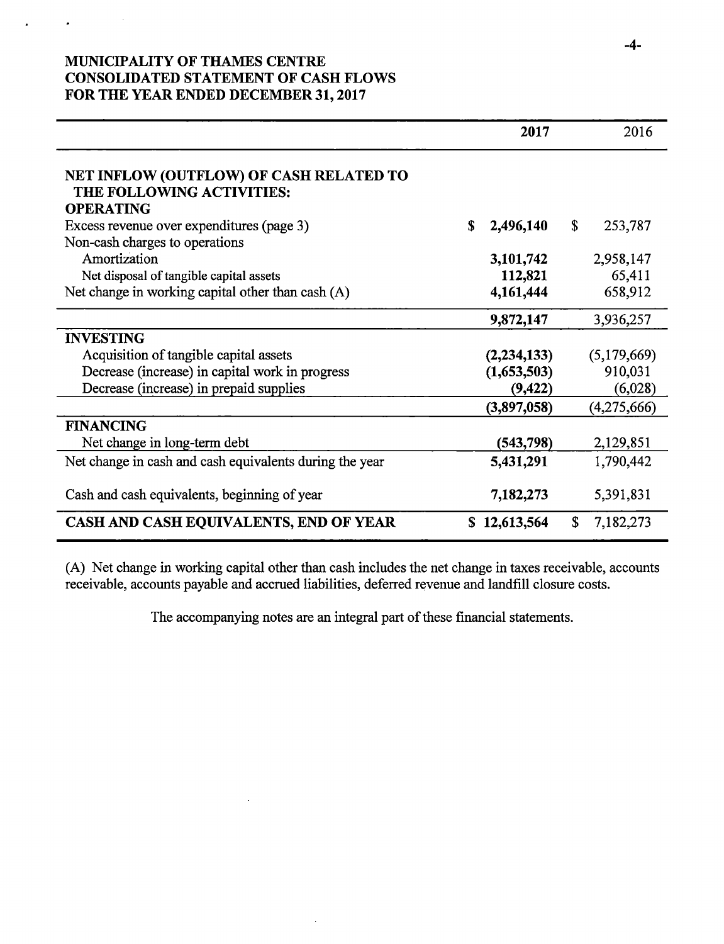# MUNICIPALITY OF THAMES CENTRE CONSOLIDATED STATEMENT OF CASH FLOWS FOR THE YEAR ENDED DECEMBER 31, 2017

|                                                                      | 2017            |    | 2016        |
|----------------------------------------------------------------------|-----------------|----|-------------|
| NET INFLOW (OUTFLOW) OF CASH RELATED TO<br>THE FOLLOWING ACTIVITIES: |                 |    |             |
| <b>OPERATING</b>                                                     |                 |    |             |
| Excess revenue over expenditures (page 3)                            | \$<br>2,496,140 | S. | 253,787     |
| Non-cash charges to operations                                       |                 |    |             |
| Amortization                                                         | 3,101,742       |    | 2,958,147   |
| Net disposal of tangible capital assets                              | 112,821         |    | 65,411      |
| Net change in working capital other than cash $(A)$                  | 4,161,444       |    | 658,912     |
|                                                                      | 9,872,147       |    | 3,936,257   |
| <b>INVESTING</b>                                                     |                 |    |             |
| Acquisition of tangible capital assets                               | (2, 234, 133)   |    | (5,179,669) |
| Decrease (increase) in capital work in progress                      | (1,653,503)     |    | 910,031     |
| Decrease (increase) in prepaid supplies                              | (9, 422)        |    | (6,028)     |
|                                                                      | (3,897,058)     |    | (4,275,666) |
| <b>FINANCING</b>                                                     |                 |    |             |
| Net change in long-term debt                                         | (543, 798)      |    | 2,129,851   |
| Net change in cash and cash equivalents during the year              | 5,431,291       |    | 1,790,442   |
| Cash and cash equivalents, beginning of year                         | 7,182,273       |    | 5,391,831   |
| CASH AND CASH EQUIVALENTS, END OF YEAR                               | \$12,613,564    | \$ | 7,182,273   |

A) Net change in working capital other than cash includes the net change in taxes receivable, accounts receivable, accounts payable and accrued liabilities, deferred revenue and landfill closure costs.

The accompanying notes are an integral part of these financial statements.

 $\epsilon$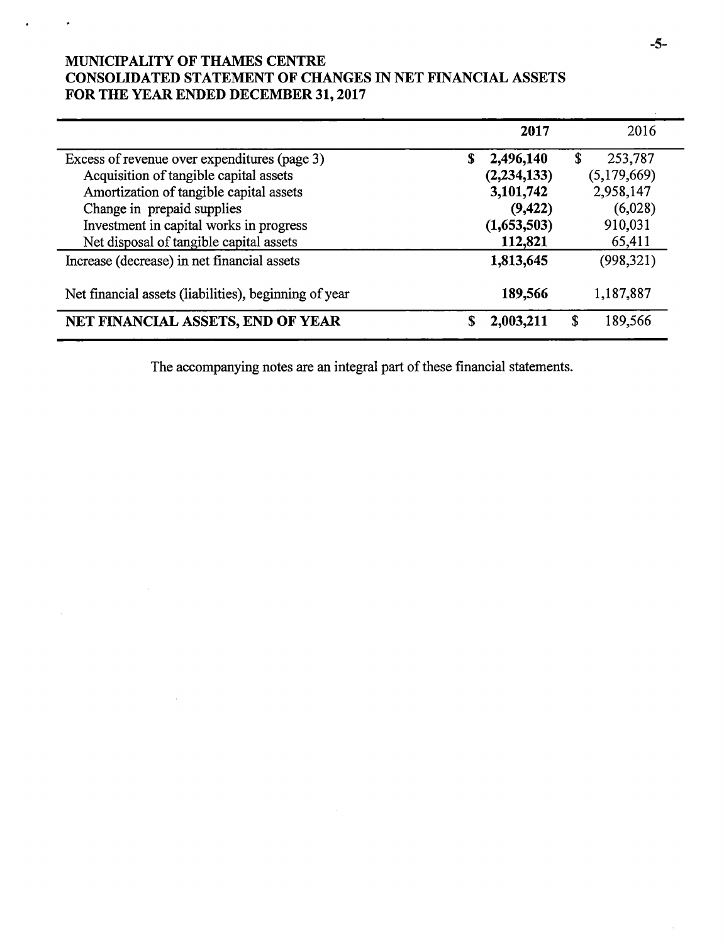# MUNICIPALITY OF THAMES CENTRE CONSOLIDATED STATEMENT OF CHANGES IN NET FINANCIAL ASSETS FOR THE YEAR ENDED DECEMBER 31, 2017

|                                                       | 2017            | 2016          |
|-------------------------------------------------------|-----------------|---------------|
| Excess of revenue over expenditures (page 3)          | \$<br>2,496,140 | \$<br>253,787 |
| Acquisition of tangible capital assets                | (2, 234, 133)   | (5,179,669)   |
| Amortization of tangible capital assets               | 3,101,742       | 2,958,147     |
| Change in prepaid supplies                            | (9, 422)        | (6,028)       |
| Investment in capital works in progress               | (1,653,503)     | 910,031       |
| Net disposal of tangible capital assets               | 112,821         | 65,411        |
| Increase (decrease) in net financial assets           | 1,813,645       | (998, 321)    |
| Net financial assets (liabilities), beginning of year | 189,566         | 1,187,887     |
| NET FINANCIAL ASSETS, END OF YEAR                     | 2,003,211       | \$<br>189,566 |

The accompanying notes are an integral part of these financial statements.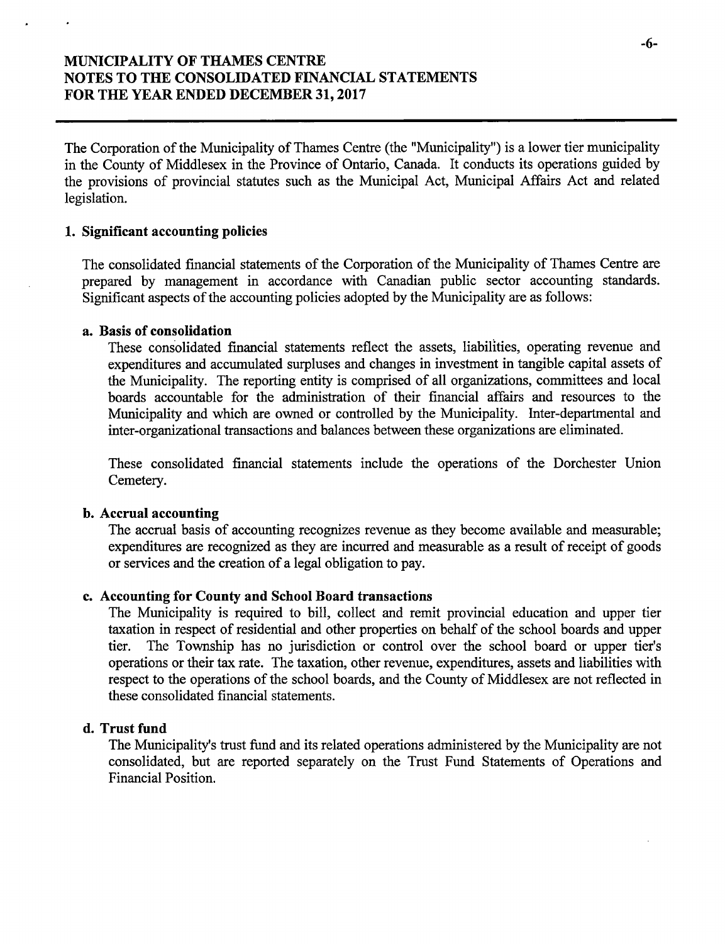The Corporation of the Municipality of Thames Centre ( the " Municipality") is <sup>a</sup> lower tier municipality in the County of Middlesex in the Province of Ontario, Canada. It conducts its operations guided by the provisions of provincial statutes such as the Municipal Act, Municipal Affairs Act and related legislation.

#### 1. Significant accounting policies

The consolidated financial statements of the Corporation of the Municipality of Thames Centre are prepared by management in accordance with Canadian public sector accounting standards. Significant aspects of the accounting policies adopted by the Municipality are as follows:

#### a. Basis of consolidation

These consolidated financial statements reflect the assets, liabilities, operating revenue and expenditures and accumulated surpluses and changes in investment in tangible capital assets of the Municipality. The reporting entity is comprised of all organizations, committees and local boards accountable for the administration of their financial affairs and resources to the Municipality and which are owned or controlled by the Municipality. Inter- departmental and inter-organizational transactions and balances between these organizations are eliminated.

These consolidated financial statements include the operations of the Dorchester Union Cemetery.

#### b. Accrual accounting

The accrual basis of accounting recognizes revenue as they become available and measurable; expenditures are recognized as they are incurred and measurable as <sup>a</sup> result of receipt of goods or services and the creation of <sup>a</sup> legal obligation to pay.

#### c. Accounting for County and School Board transactions

The Municipality is required to bill, collect and remit provincial education and upper tier taxation in respect of residential and other properties on behalf of the school boards and upper tier. The Township has no jurisdiction or control over the school board or upper tier's operations or their tax rate. The taxation, other revenue, expenditures, assets and liabilities with respect to the operations of the school boards, and the County of Middlesex are not reflected in these consolidated financial statements.

#### d. Trust fund

The Municipality's trust fund and its related operations administered by the Municipality are not consolidated, but are reported separately on the Trust Fund Statements of Operations and Financial Position.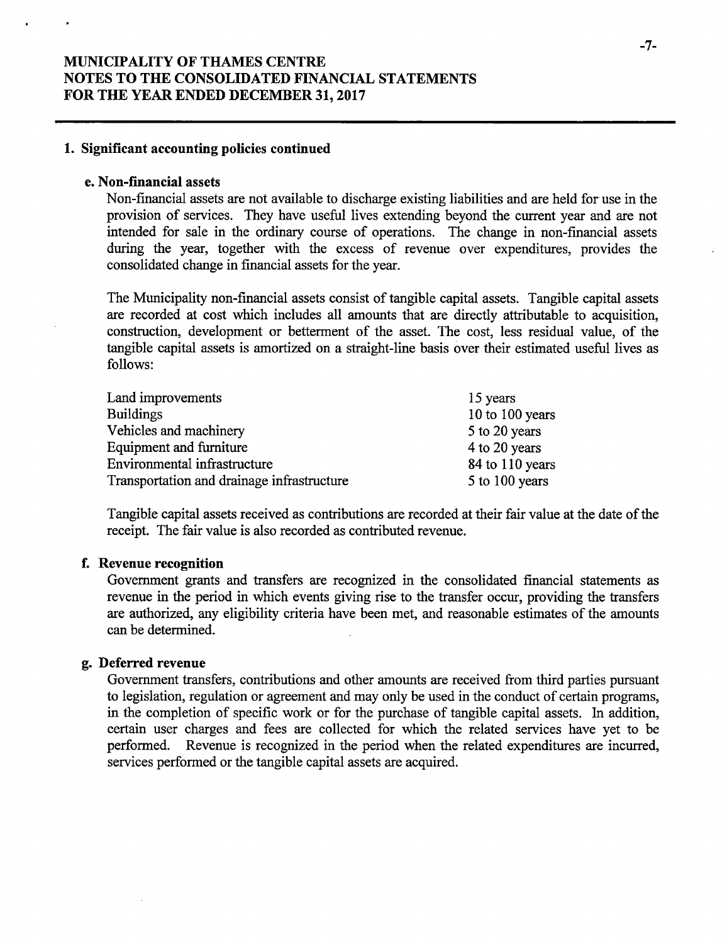#### 1. Significant accounting policies continued

#### e. Non-financial assets

Non-financial assets are not available to discharge existing liabilities and are held for use in the provision of services. They have useful lives extending beyond the current year and are not intended for sale in the ordinary course of operations. The change in non-financial assets during the year, together with the excess of revenue over expenditures, provides the consolidated change in financial assets for the year.

The Municipality non-financial assets consist of tangible capital assets. Tangible capital assets are recorded at cost which includes all amounts that are directly attributable to acquisition, construction, development or betterment of the asset. The cost, less residual value, of the tangible capital assets is amortized on a straight- line basis over their estimated useful lives as follows:

| Land improvements                          | 15 years        |
|--------------------------------------------|-----------------|
| <b>Buildings</b>                           | 10 to 100 years |
| Vehicles and machinery                     | 5 to 20 years   |
| Equipment and furniture                    | 4 to 20 years   |
| Environmental infrastructure               | 84 to 110 years |
| Transportation and drainage infrastructure | 5 to 100 years  |

Tangible capital assets received as contributions are recorded at their fair value at the date of the receipt. The fair value is also recorded as contributed revenue.

#### f. Revenue recognition

Government grants and transfers are recognized in the consolidated financial statements as revenue in the period in which events giving rise to the transfer occur, providing the transfers are authorized, any eligibility criteria have been met, and reasonable estimates of the amounts can be determined.

#### g. Deferred revenue

Government transfers, contributions and other amounts are received from third parties pursuant to legislation, regulation or agreement and may only be used in the conduct of certain programs, in the completion of specific work or for the purchase of tangible capital assets. In addition, certain user charges and fees are collected for which the related services have yet to be performed. Revenue is recognized in the period when the related expenditures are incurred, services performed or the tangible capital assets are acquired.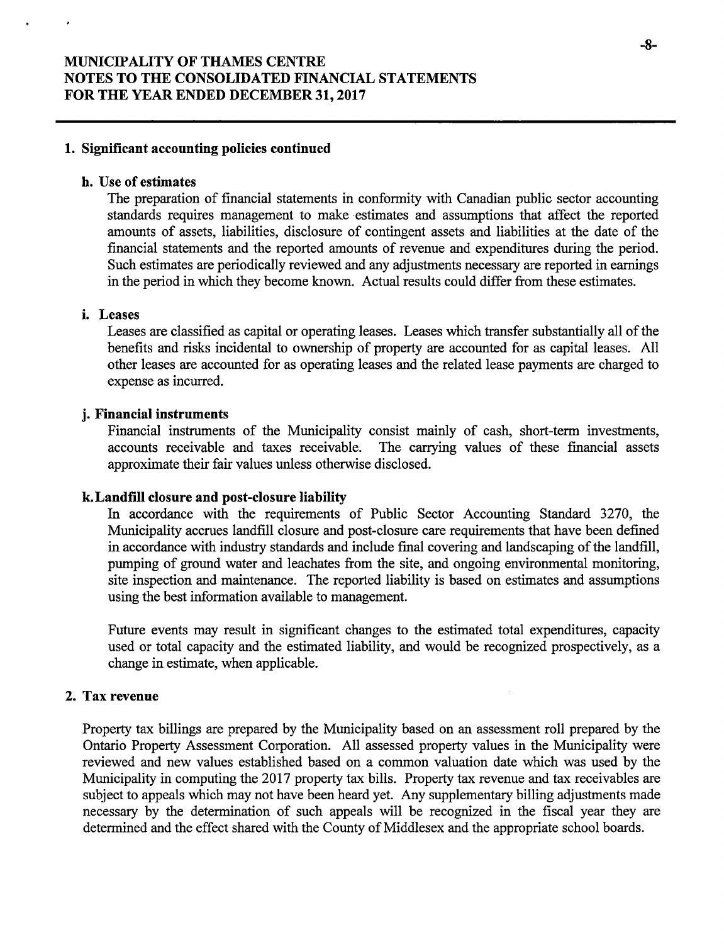#### 1. Significant accounting policies continued

#### h. Use of estimates

The preparation of financial statements in conformity with Canadian public sector accounting standards requires management to make estimates and assumptions that affect the reported amounts of assets, liabilities, disclosure of contingent assets and liabilities at the date of the financial statements and the reported amounts of revenue and expenditures during the period. Such estimates are periodically reviewed and any adjustments necessary are reported in earnings in the period in which they become known. Actual results could differ from these estimates.

### i. Leases

Leases are classified as capital or operating leases. Leases which transfer substantially all of the benefits and risks incidental to ownership of property are accounted for as capital leases. All other leases are accounted for as operating leases and the related lease payments are charged to expense as incurred.

#### j. Financial instruments

Financial instruments of the Municipality consist mainly of cash, short-term investments, accounts receivable and taxes receivable. The carrying values of these financial assets The carrying values of these financial assets approximate their fair values unless otherwise disclosed.

#### k. Landfill closure and post-closure liability

In accordance with the requirements of Public Sector Accounting Standard 3270, the Municipality accrues landfill closure and post-closure care requirements that have been defined in accordance with industry standards and include final covering and landscaping of the landfill, pumping of ground water and leachates from the site, and ongoing environmental monitoring, site inspection and maintenance. The reported liability is based on estimates and assumptions using the best information available to management.

Future events may result in significant changes to the estimated total expenditures, capacity used or total capacity and the estimated liability, and would be recognized prospectively, as a change in estimate, when applicable.

#### 2. Tax revenue

Property tax billings are prepared by the Municipality based on an assessment roll prepared by the Ontario Property Assessment Corporation. All assessed property values in the Municipality were reviewed and new values established based on a common valuation date which was used by the Municipality in computing the 2017 property tax bills. Property tax revenue and tax receivables are subject to appeals which may not have been heard yet. Any supplementary billing adjustments made necessary by the determination of such appeals will be recognized in the fiscal year they are determined and the effect shared with the County of Middlesex and the appropriate school boards.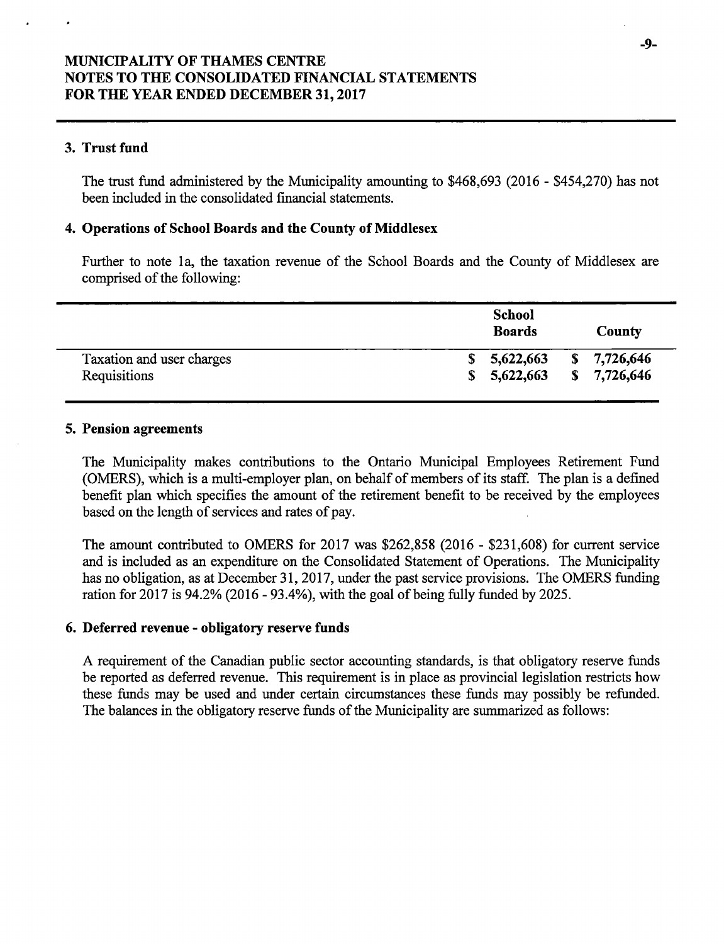### 3. Trust fund

The trust fund administered by the Municipality amounting to \$468,693 (2016 - \$454,270) has not been included in the consolidated financial statements.

#### 4. Operations of School Boards and the County of Middlesex

Further to note la, the taxation revenue of the School Boards and the County of Middlesex are comprised of the following:

|                           | <b>School</b><br><b>Boards</b> |    | County    |  |
|---------------------------|--------------------------------|----|-----------|--|
| Taxation and user charges | 5,622,663                      | S. | 7,726,646 |  |
| Requisitions              | 5,622,663<br>S.                | S. | 7,726,646 |  |

#### 5. Pension agreements

The Municipality makes contributions to the Ontario Municipal Employees Retirement Fund OMERS), which is a multi-employer plan, on behalf of members of its staff. The plan is <sup>a</sup> defined benefit plan which specifies the amount of the retirement benefit to be received by the employees based on the length of services and rates of pay.

The amount contributed to OMERS for 2017 was \$262,858 (2016 - \$231,608) for current service and is included as an expenditure on the Consolidated Statement of Operations. The Municipality has no obligation, as at December 31, 2017, under the past service provisions. The OMERS funding ration for  $2017$  is  $94.2\%$  ( $2016 - 93.4\%$ ), with the goal of being fully funded by  $2025$ .

#### 6. Deferred revenue- obligatory reserve funds

A requirement of the Canadian public sector accounting standards, is that obligatory reserve funds be reported as deferred revenue. This requirement is in place as provincial legislation restricts how these funds may be used and under certain circumstances these funds may possibly be refunded. The balances in the obligatory reserve funds of the Municipality are summarized as follows: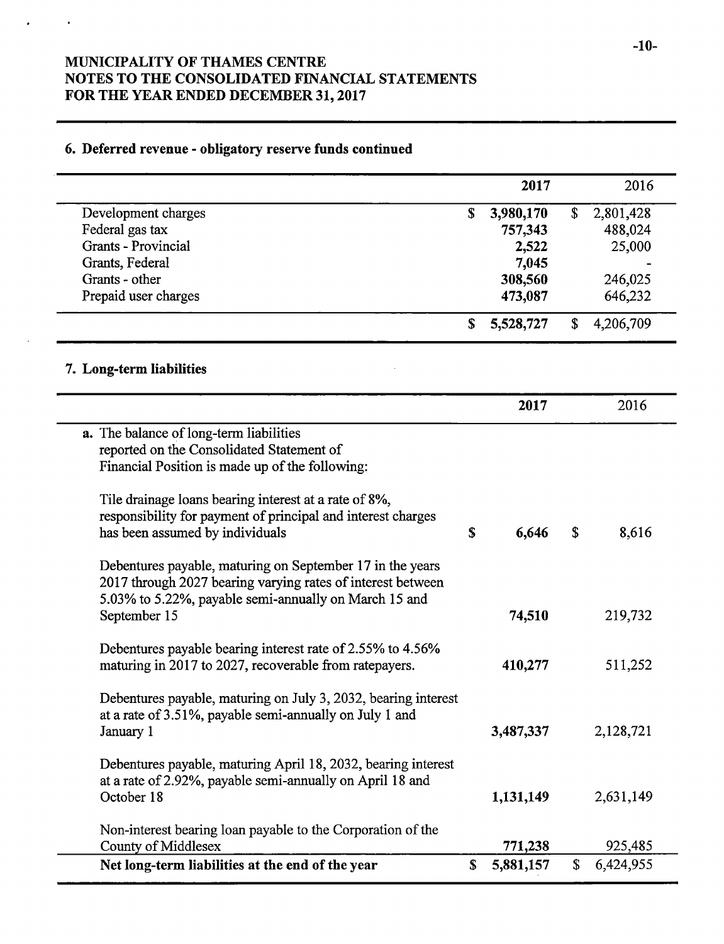# 6. Deferred revenue- obligatory reserve funds continued

 $\bullet$ 

|                                                                         |    | 2017      | 2016            |
|-------------------------------------------------------------------------|----|-----------|-----------------|
| Development charges                                                     | \$ | 3,980,170 | \$<br>2,801,428 |
| Federal gas tax                                                         |    | 757,343   | 488,024         |
| Grants - Provincial                                                     |    | 2,522     | 25,000          |
| Grants, Federal                                                         |    | 7,045     |                 |
| Grants - other                                                          |    | 308,560   | 246,025         |
| Prepaid user charges                                                    |    | 473,087   | 646,232         |
|                                                                         | S  | 5,528,727 | \$<br>4,206,709 |
| 7. Long-term liabilities                                                |    |           |                 |
|                                                                         |    | 2017      | 2016            |
| a. The balance of long-term liabilities                                 |    |           |                 |
| reported on the Consolidated Statement of                               |    |           |                 |
| Financial Position is made up of the following:                         |    |           |                 |
| Tile drainage loans bearing interest at a rate of 8%,                   |    |           |                 |
| responsibility for payment of principal and interest charges            |    |           |                 |
| has been assumed by individuals                                         | \$ | 6,646     | \$<br>8,616     |
| Debentures payable, maturing on September 17 in the years               |    |           |                 |
| 2017 through 2027 bearing varying rates of interest between             |    |           |                 |
| 5.03% to 5.22%, payable semi-annually on March 15 and                   |    |           |                 |
| September 15                                                            |    | 74,510    | 219,732         |
|                                                                         |    |           |                 |
| Debentures payable bearing interest rate of 2.55% to 4.56%              |    |           |                 |
| maturing in 2017 to 2027, recoverable from ratepayers.                  |    | 410,277   | 511,252         |
|                                                                         |    |           |                 |
| Debentures payable, maturing on July 3, 2032, bearing interest          |    |           |                 |
| at a rate of 3.51%, payable semi-annually on July 1 and                 |    |           |                 |
| January 1                                                               |    | 3,487,337 | 2,128,721       |
|                                                                         |    |           |                 |
| Debentures payable, maturing April 18, 2032, bearing interest           |    |           |                 |
| at a rate of 2.92%, payable semi-annually on April 18 and<br>October 18 |    |           |                 |
|                                                                         |    | 1,131,149 | 2,631,149       |
| Non-interest bearing loan payable to the Corporation of the             |    |           |                 |
| County of Middlesex                                                     |    | 771,238   | 925,485         |
| Net long-term liabilities at the end of the year                        | \$ | 5,881,157 | \$<br>6,424,955 |
|                                                                         |    |           |                 |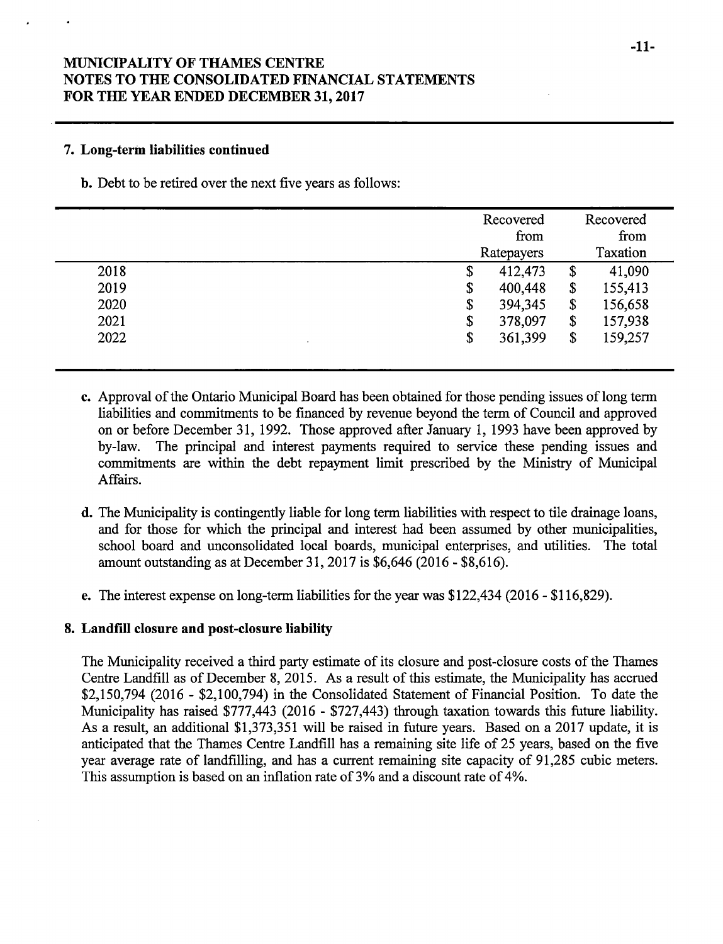#### 7. Long-term liabilities continued

b. Debt to be retired over the next five years as follows:

|      | Recovered          |                           | Recovered        |
|------|--------------------|---------------------------|------------------|
|      | from<br>Ratepayers |                           | from<br>Taxation |
| 2018 | \$<br>412,473      | \$                        | 41,090           |
| 2019 | \$<br>400,448      | $\boldsymbol{\mathsf{s}}$ | 155,413          |
| 2020 | \$<br>394,345      | \$                        | 156,658          |
| 2021 | \$<br>378,097      | \$                        | 157,938          |
| 2022 | \$<br>361,399      | \$                        | 159,257          |
|      |                    |                           |                  |

- c. Approval of the Ontario Municipal Board has been obtained for those pending issues of long term liabilities and commitments to be financed by revenue beyond the term of Council and approved on or before December 31, 1992. Those approved after January 1, 1993 have been approved by by-law. The principal and interest payments required to service these pending issues and commitments are within the debt repayment limit prescribed by the Ministry of Municipal Affairs.
- d. The Municipality is contingently liable for long term liabilities with respect to tile drainage loans, and for those for which the principal and interest had been assumed by other municipalities, school board and unconsolidated local boards, municipal enterprises, and utilities. The total amount outstanding as at December 31, 2017 is \$6,646 (2016 - \$8,616).
- e. The interest expense on long-term liabilities for the year was \$122,434 (2016 \$116,829).

#### 8. Landfill closure and post-closure liability

The Municipality received a third party estimate of its closure and post- closure costs of the Thames Centre Landfill as of December 8, 2015. As <sup>a</sup> result of this estimate, the Municipality has accrued \$2,150,794 (2016 - \$2,100,794) in the Consolidated Statement of Financial Position. To date the Municipality has raised \$777,443 (2016 - \$727,443) through taxation towards this future liability. As a result, an additional \$1,373,351 will be raised in future years. Based on a 2017 update, it is anticipated that the Thames Centre Landfill has a remaining site life of 25 years, based on the five year average rate of landfilling, and has a current remaining site capacity of 91, 285 cubic meters. This assumption is based on an inflation rate of 3% and <sup>a</sup> discount rate of 4%.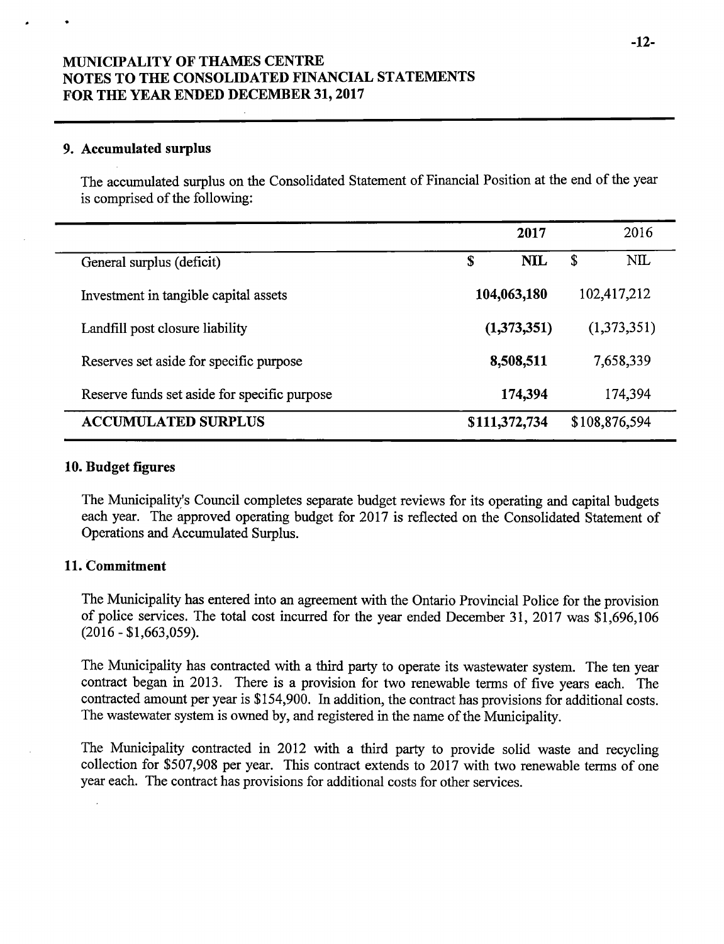#### 9. Accumulated surplus

The accumulated surplus on the Consolidated Statement of Financial Position at the end of the year is comprised of the following:

|                                              | 2017            | 2016          |
|----------------------------------------------|-----------------|---------------|
| General surplus (deficit)                    | <b>NIL</b><br>S | NIL<br>S      |
| Investment in tangible capital assets        | 104,063,180     | 102,417,212   |
| Landfill post closure liability              | (1,373,351)     | (1,373,351)   |
| Reserves set aside for specific purpose      | 8,508,511       | 7,658,339     |
| Reserve funds set aside for specific purpose | 174,394         | 174,394       |
| <b>ACCUMULATED SURPLUS</b>                   | \$111,372,734   | \$108,876,594 |

#### 10. Budget figures

The Municipality's Council completes separate budget reviews for its operating and capital budgets each year. The approved operating budget for 2017 is reflected on the Consolidated Statement of Operations and Accumulated Surplus.

### 11. Commitment

The Municipality has entered into an agreement with the Ontario Provincial Police for the provision of police services. The total cost incurred for the year ended December 31, 2017 was \$1,696,106  $(2016 - $1,663,059)$ .

The Municipality has contracted with <sup>a</sup> third party to operate its wastewater system. The ten year contract began in 2013. There is <sup>a</sup> provision for two renewable terms of five years each. The contracted amount per year is \$154,900. In addition, the contract has provisions for additional costs. The wastewater system is owned by, and registered in the name of the Municipality.

The Municipality contracted in 2012 with a third party to provide solid waste and recycling collection for \$507,908 per year. This contract extends to 2017 with two renewable terms of one year each. The contract has provisions for additional costs for other services.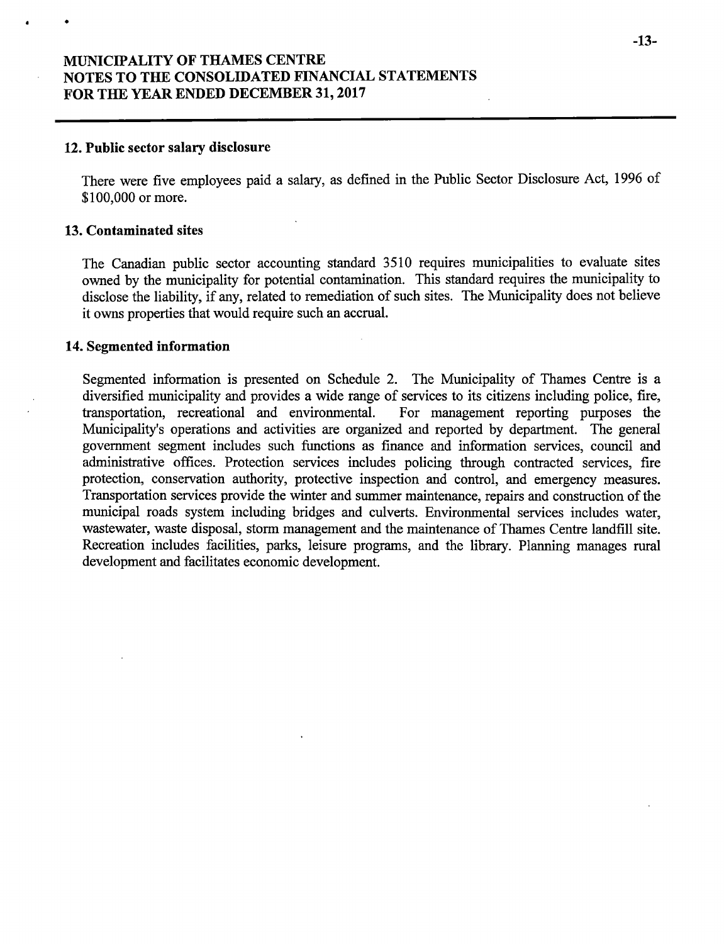#### 12. Public sector salary disclosure

There were five employees paid a salary, as defined in the Public Sector Disclosure Act, 1996 of \$100,000 or more.

#### 13. Contaminated sites

The Canadian public sector accounting standard 3510 requires municipalities to evaluate sites owned by the municipality for potential contamination. This standard requires the municipality to disclose the liability, if any, related to remediation of such sites. The Municipality does not believe it owns properties that would require such an accrual.

#### 14. Segmented information

Segmented information is presented on Schedule 2. The Municipality of Thames Centre is a diversified municipality and provides a wide range of services to its citizens including police, fire, transportation, recreational and environmental. For management reporting purposes the transportation, recreational and environmental. Municipality's operations and activities are organized and reported by department. The general government segment includes such functions as finance and information services, council and administrative offices. Protection services includes policing through contracted services, fire protection, conservation authority, protective inspection and control, and emergency measures. Transportation services provide the winter and summer maintenance, repairs and construction of the municipal roads system including bridges and culverts. Environmental services includes water, wastewater, waste disposal, storm management and the maintenance of Thames Centre landfill site. Recreation includes facilities, parks, leisure programs, and the library. Planning manages rural development and facilitates economic development.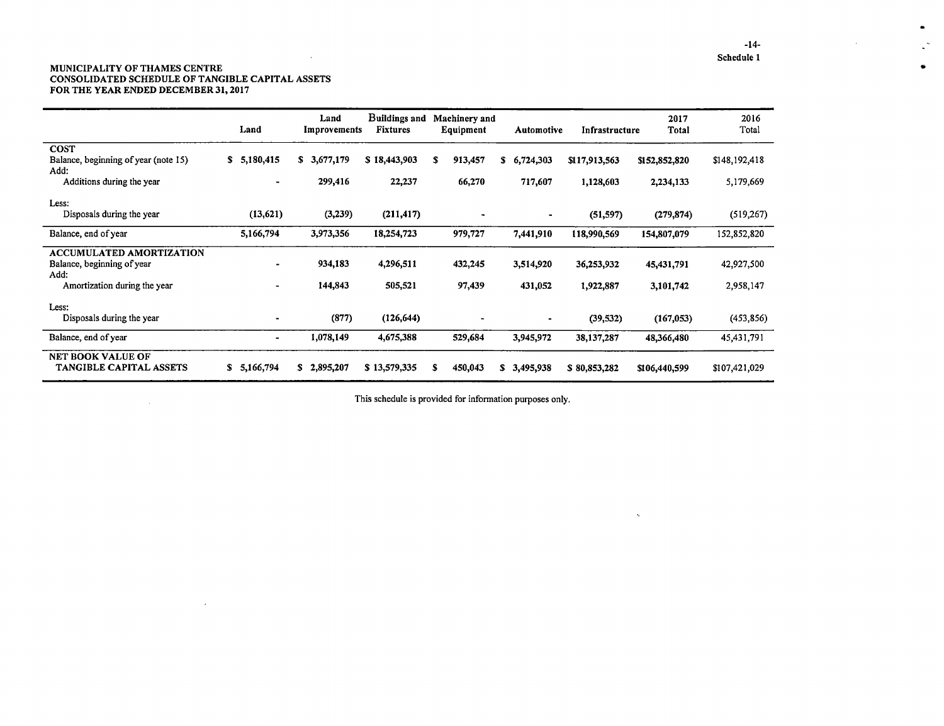#### MUNICIPALITY OF THAMES CENTR CONSOLIDATED SCHEDULE OF TANGIBLE CAPITAL ASSETS FOR THE YEAR ENDED DECEMBER 31, 2017

 $\sim 10^7$ 

 $\mathcal{A}$ 

 $\sim$ 

|                                                                | Land            | Land<br>Improvements | Buildings and<br><b>Fixtures</b> | Machinery and<br>Equipment | Automotive      | Infrastructure | 2017<br>Total | 2016<br>Total |
|----------------------------------------------------------------|-----------------|----------------------|----------------------------------|----------------------------|-----------------|----------------|---------------|---------------|
| <b>COST</b>                                                    |                 |                      |                                  |                            |                 |                |               |               |
| Balance, beginning of year (note 15)<br>Add:                   | 5,180,415<br>S. | \$3,677,179          | \$18,443,903                     | s<br>913,457               | S<br>6,724,303  | \$117,913,563  | \$152,852,820 | \$148,192,418 |
| Additions during the year                                      | ٠               | 299,416              | 22,237                           | 66,270                     | 717,607         | 1,128,603      | 2,234,133     | 5,179,669     |
| Less:                                                          |                 |                      |                                  |                            |                 |                |               |               |
| Disposals during the year                                      | (13, 621)       | (3,239)              | (211, 417)                       |                            |                 | (51, 597)      | (279, 874)    | (519, 267)    |
| Balance, end of year                                           | 5,166,794       | 3,973,356            | 18,254,723                       | 979,727                    | 7,441,910       | 118,990,569    | 154,807,079   | 152,852,820   |
| ACCUMULATED AMORTIZATION<br>Balance, beginning of year<br>Add: |                 | 934,183              | 4,296,511                        | 432,245                    | 3,514,920       | 36,253,932     | 45,431,791    | 42,927,500    |
| Amortization during the year                                   | -               | 144,843              | 505,521                          | 97,439                     | 431,052         | 1,922,887      | 3,101,742     | 2,958,147     |
| Less:                                                          |                 |                      |                                  |                            |                 |                |               |               |
| Disposals during the year                                      |                 | (877)                | (126, 644)                       |                            | ٠               | (39, 532)      | (167, 053)    | (453, 856)    |
| Balance, end of year                                           | -               | 1,078,149            | 4,675,388                        | 529,684                    | 3,945,972       | 38,137,287     | 48,366,480    | 45,431,791    |
| <b>NET BOOK VALUE OF</b><br><b>TANGIBLE CAPITAL ASSETS</b>     | S.<br>5,166,794 | 2,895,207<br>S.      | \$13,579,335                     | S<br>450,043               | S.<br>3,495,938 | \$80,853,282   | \$106,440,599 | \$107,421,029 |

This schedule is provided for information purposes only.

 $\mathcal{L}_{\mathcal{C}}$ 

 $\bullet$ 

 $\mathbb{Z}^m$ 

 $\bullet$ 

 $\mathcal{L}$